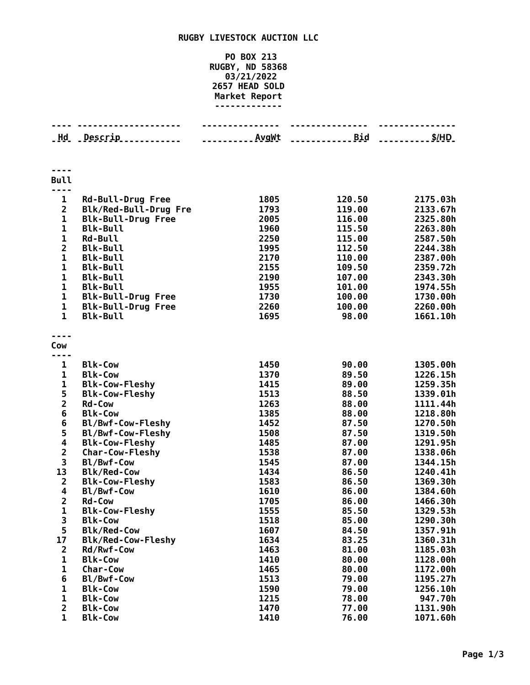## **RUGBY LIVESTOCK AUCTION LLC**

## **PO BOX 213 RUGBY, ND 58368 03/21/2022 HEAD SOLD Market Report -------------**

|                         | <u> Hd. Descrip </u>                         | ___________ <u>AvgWt</u> | Bid            | \$/HD                |
|-------------------------|----------------------------------------------|--------------------------|----------------|----------------------|
|                         |                                              |                          |                |                      |
|                         |                                              |                          |                |                      |
| <b>Bull</b><br>----     |                                              |                          |                |                      |
| 1                       | Rd-Bull-Drug Free                            | 1805                     | 120.50         | 2175.03h             |
| $\overline{2}$          | Blk/Red-Bull-Drug Fre                        | 1793                     | 119.00         | 2133.67h             |
| 1                       | <b>Blk-Bull-Drug Free</b>                    | 2005                     | 116.00         | 2325.80h             |
| 1                       | <b>Blk-Bull</b>                              | 1960                     | 115.50         | 2263.80h             |
| 1                       | <b>Rd-Bull</b>                               | 2250                     | 115.00         | 2587.50h             |
| 2                       | <b>Blk-Bull</b>                              | 1995                     | 112.50         | 2244.38h             |
| $\mathbf{1}$            | <b>Blk-Bull</b>                              | 2170                     | 110.00         | 2387.00h             |
| $\mathbf{1}$            | <b>Blk-Bull</b>                              | 2155                     | 109.50         | 2359.72h             |
| 1                       | <b>Blk-Bull</b>                              | 2190                     | 107.00         | 2343.30h             |
| $\mathbf{1}$            | <b>Blk-Bull</b>                              | 1955                     | 101.00         | 1974.55h             |
| 1                       | <b>Blk-Bull-Drug Free</b>                    | 1730<br>2260             | 100.00         | 1730.00h             |
| 1<br>$\mathbf{1}$       | <b>Blk-Bull-Drug Free</b><br><b>Blk-Bull</b> |                          | 100.00         | 2260.00h<br>1661.10h |
|                         |                                              | 1695                     | 98.00          |                      |
|                         |                                              |                          |                |                      |
| Cow                     |                                              |                          |                |                      |
| $- - -$                 |                                              |                          |                |                      |
| 1                       | <b>Blk-Cow</b>                               | 1450                     | 90.00          | 1305.00h             |
| $\mathbf{1}$            | <b>Blk-Cow</b>                               | 1370                     | 89.50          | 1226.15h             |
| 1                       | <b>Blk-Cow-Fleshy</b>                        | 1415                     | 89.00          | 1259.35h             |
| 5<br>$\overline{2}$     | <b>Blk-Cow-Fleshy</b><br><b>Rd-Cow</b>       | 1513<br>1263             | 88.50<br>88.00 | 1339.01h<br>1111.44h |
| 6                       | <b>Blk-Cow</b>                               | 1385                     | 88.00          | 1218.80h             |
| 6                       | Bl/Bwf-Cow-Fleshy                            | 1452                     | 87.50          | 1270.50h             |
| 5                       | Bl/Bwf-Cow-Fleshy                            | 1508                     | 87.50          | 1319.50h             |
| 4                       | <b>Blk-Cow-Fleshy</b>                        | 1485                     | 87.00          | 1291.95h             |
| $\overline{\mathbf{2}}$ | Char-Cow-Fleshy                              | 1538                     | 87.00          | 1338.06h             |
| 3                       | Bl/Bwf-Cow                                   | 1545                     | 87.00          | 1344.15h             |
| 13                      | <b>Blk/Red-Cow</b>                           | 1434                     | 86.50          | 1240.41h             |
| $\overline{2}$          | <b>Blk-Cow-Fleshy</b>                        | 1583                     | 86.50          | 1369.30h             |
| 4                       | Bl/Bwf-Cow                                   | 1610                     | 86.00          | 1384.60h             |
| 2                       | <b>Rd-Cow</b>                                | 1705                     | 86.00          | 1466.30h             |
| $\mathbf 1$             | <b>Blk-Cow-Fleshy</b>                        | 1555                     | 85.50          | 1329.53h             |
| 3                       | <b>Blk-Cow</b>                               | 1518                     | 85.00          | 1290.30h             |
| 5                       | <b>Blk/Red-Cow</b>                           | 1607                     | 84.50          | 1357.91h             |
| 17                      | <b>Blk/Red-Cow-Fleshy</b>                    | 1634                     | 83.25          | 1360.31h             |
| $\overline{\mathbf{c}}$ | Rd/Rwf-Cow                                   | 1463                     | 81.00          | 1185.03h             |
| 1                       | <b>Blk-Cow</b>                               | 1410                     | 80.00          | 1128.00h             |
| 1                       | <b>Char-Cow</b>                              | 1465                     | 80.00          | 1172.00h             |
| 6                       | Bl/Bwf-Cow                                   | 1513                     | 79.00          | 1195.27h             |
| 1                       | <b>Blk-Cow</b>                               | 1590                     | 79.00          | 1256.10h             |
| 1                       | <b>Blk-Cow</b>                               | 1215                     | 78.00          | 947.70h              |
| $\overline{2}$          | <b>Blk-Cow</b>                               | 1470                     | 77.00          | 1131.90h             |
| $\mathbf{1}$            | <b>Blk-Cow</b>                               | 1410                     | 76.00          | 1071.60h             |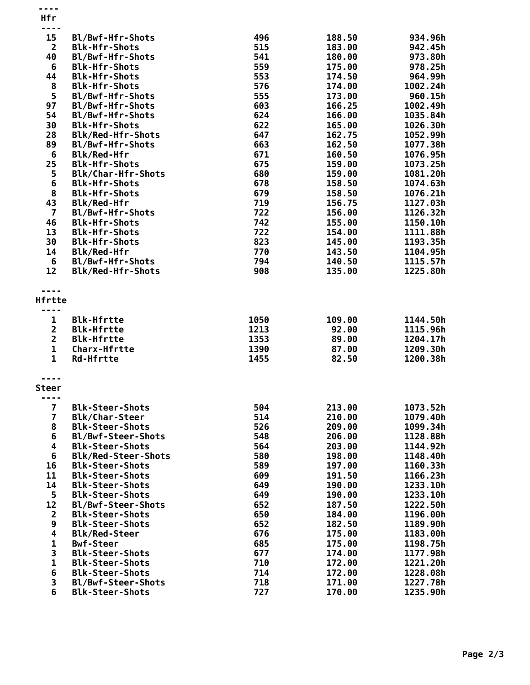| ----                        |                                                      |              |                  |                      |
|-----------------------------|------------------------------------------------------|--------------|------------------|----------------------|
| 15                          | Bl/Bwf-Hfr-Shots                                     | 496          | 188.50           | 934.96h              |
| $\overline{2}$              | <b>Blk-Hfr-Shots</b>                                 | 515          | 183.00           | 942.45h              |
| 40                          | Bl/Bwf-Hfr-Shots                                     | 541          | 180.00           | 973.80h              |
| 6<br>44                     | <b>Blk-Hfr-Shots</b><br><b>Blk-Hfr-Shots</b>         | 559<br>553   | 175.00<br>174.50 | 978.25h<br>964.99h   |
| 8                           | <b>Blk-Hfr-Shots</b>                                 | 576          | 174.00           | 1002.24h             |
| 5                           | Bl/Bwf-Hfr-Shots                                     | 555          | 173.00           | 960.15h              |
| 97                          | Bl/Bwf-Hfr-Shots                                     | 603          | 166.25           | 1002.49h             |
| 54                          | Bl/Bwf-Hfr-Shots                                     | 624          | 166.00           | 1035.84h             |
| 30                          | <b>Blk-Hfr-Shots</b>                                 | 622          | 165.00           | 1026.30h             |
| 28                          | Blk/Red-Hfr-Shots                                    | 647          | 162.75           | 1052.99h             |
| 89                          | Bl/Bwf-Hfr-Shots                                     | 663          | 162.50           | 1077.38h             |
| $6\phantom{1}6$             | Blk/Red-Hfr                                          | 671          | 160.50           | 1076.95h             |
| 25                          | <b>Blk-Hfr-Shots</b>                                 | 675          | 159.00           | 1073.25h             |
| 5                           | <b>Blk/Char-Hfr-Shots</b>                            | 680          | 159.00           | 1081.20h             |
| 6                           | <b>Blk-Hfr-Shots</b>                                 | 678          | 158.50           | 1074.63h             |
| 8                           | <b>Blk-Hfr-Shots</b>                                 | 679          | 158.50           | 1076.21h             |
| 43                          | Blk/Red-Hfr                                          | 719          | 156.75           | 1127.03h             |
| $\overline{7}$              | Bl/Bwf-Hfr-Shots<br><b>Blk-Hfr-Shots</b>             | 722<br>742   | 156.00           | 1126.32h             |
| 46<br>13                    | <b>Blk-Hfr-Shots</b>                                 | 722          | 155.00<br>154.00 | 1150.10h<br>1111.88h |
| 30                          | <b>Blk-Hfr-Shots</b>                                 | 823          | 145.00           | 1193.35h             |
| 14                          | Blk/Red-Hfr                                          | 770          | 143.50           | 1104.95h             |
| 6                           | Bl/Bwf-Hfr-Shots                                     | 794          | 140.50           | 1115.57h             |
| 12                          | Blk/Red-Hfr-Shots                                    | 908          | 135.00           | 1225.80h             |
|                             |                                                      |              |                  |                      |
|                             |                                                      |              |                  |                      |
| Hfrtte                      |                                                      |              |                  |                      |
| ----                        |                                                      |              |                  |                      |
| $\mathbf{1}$                | <b>Blk-Hfrtte</b>                                    | 1050         | 109.00           | 1144.50h             |
| $\overline{\mathbf{c}}$     | <b>Blk-Hfrtte</b>                                    | 1213         | 92.00            | 1115.96h             |
| $\overline{2}$              | <b>Blk-Hfrtte</b>                                    | 1353         | 89.00            | 1204.17h             |
| $\mathbf 1$<br>$\mathbf{1}$ | <b>Charx-Hfrtte</b><br><b>Rd-Hfrtte</b>              | 1390<br>1455 | 87.00<br>82.50   | 1209.30h<br>1200.38h |
|                             |                                                      |              |                  |                      |
|                             |                                                      |              |                  |                      |
| Steer                       |                                                      |              |                  |                      |
|                             |                                                      |              |                  |                      |
| $\overline{\mathbf{z}}$     | <b>Blk-Steer-Shots</b>                               | 504          | 213.00           | 1073.52h             |
| 7                           | <b>Blk/Char-Steer</b>                                | 514          | 210.00           | 1079.40h             |
| 8                           | <b>Blk-Steer-Shots</b>                               | 526          | 209.00           | 1099.34h             |
| 6                           | Bl/Bwf-Steer-Shots                                   | 548          | 206.00           | 1128.88h             |
| 4                           | <b>Blk-Steer-Shots</b>                               | 564          | 203.00           | 1144.92h             |
| $\bf 6$<br>16               | <b>Blk/Red-Steer-Shots</b><br><b>Blk-Steer-Shots</b> | 580<br>589   | 198.00<br>197.00 | 1148.40h<br>1160.33h |
| 11                          | <b>Blk-Steer-Shots</b>                               | 609          | 191.50           | 1166.23h             |
| 14                          | <b>Blk-Steer-Shots</b>                               | 649          | 190.00           | 1233.10h             |
| 5                           | <b>Blk-Steer-Shots</b>                               | 649          | 190.00           | 1233.10h             |
| 12                          |                                                      | 652          | 187.50           | 1222.50h             |
| 2                           |                                                      |              |                  |                      |
|                             | Bl/Bwf-Steer-Shots<br><b>Blk-Steer-Shots</b>         | 650          | 184.00           |                      |
| 9                           | <b>Blk-Steer-Shots</b>                               | 652          | 182.50           | 1196.00h<br>1189.90h |
| 4                           | <b>Blk/Red-Steer</b>                                 | 676          | 175.00           | 1183.00h             |
| 1                           | <b>Bwf-Steer</b>                                     | 685          | 175.00           | 1198.75h             |
| 3                           | <b>Blk-Steer-Shots</b>                               | 677          | 174.00           | 1177.98h             |
| 1                           | <b>Blk-Steer-Shots</b>                               | 710          | 172.00           | 1221.20h             |
| 6                           | <b>Blk-Steer-Shots</b>                               | 714          | 172.00           | 1228.08h             |
| 3<br>6                      | Bl/Bwf-Steer-Shots<br><b>Blk-Steer-Shots</b>         | 718<br>727   | 171.00<br>170.00 | 1227.78h<br>1235.90h |